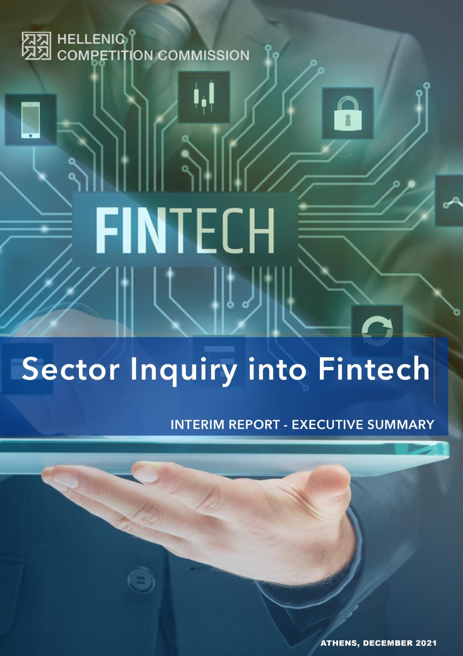

# **FINTECH**

# Sector Inquiry into Fintech

**INTERIM REPORT - EXECUTIVE SUMMARY** 

**ATHENS, DECEMBER 2021**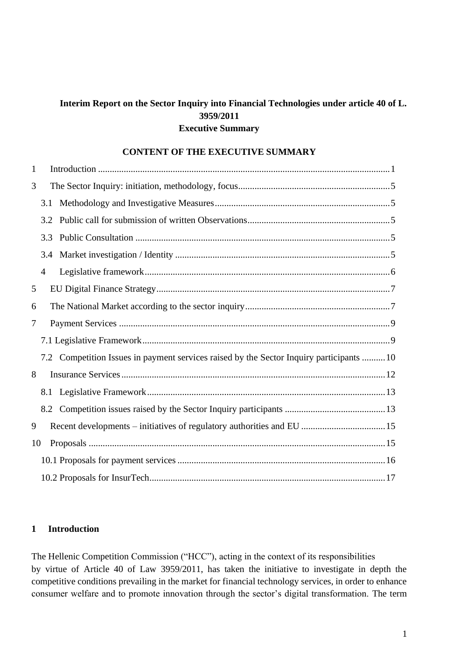# **Interim Report on the Sector Inquiry into Financial Technologies under article 40 of L. 3959/2011 Executive Summary**

#### **CONTENT OF THE EXECUTIVE SUMMARY**

| $\mathbf{1}$ |     |                                                                                         |  |
|--------------|-----|-----------------------------------------------------------------------------------------|--|
| 3            |     |                                                                                         |  |
|              | 3.1 |                                                                                         |  |
|              | 3.2 |                                                                                         |  |
|              | 3.3 |                                                                                         |  |
|              | 3.4 |                                                                                         |  |
|              | 4   |                                                                                         |  |
| 5            |     |                                                                                         |  |
| 6            |     |                                                                                         |  |
| 7            |     |                                                                                         |  |
|              |     |                                                                                         |  |
|              |     | 7.2 Competition Issues in payment services raised by the Sector Inquiry participants 10 |  |
| 8            |     |                                                                                         |  |
|              |     |                                                                                         |  |
|              |     |                                                                                         |  |
| 9            |     |                                                                                         |  |
| 10           |     |                                                                                         |  |
|              |     |                                                                                         |  |
|              |     |                                                                                         |  |

# <span id="page-1-0"></span>**1 Introduction**

The Hellenic Competition Commission ("HCC"), acting in the context of its responsibilities by virtue of Article 40 of Law 3959/2011, has taken the initiative to investigate in depth the competitive conditions prevailing in the market for financial technology services, in order to enhance consumer welfare and to promote innovation through the sector's digital transformation. The term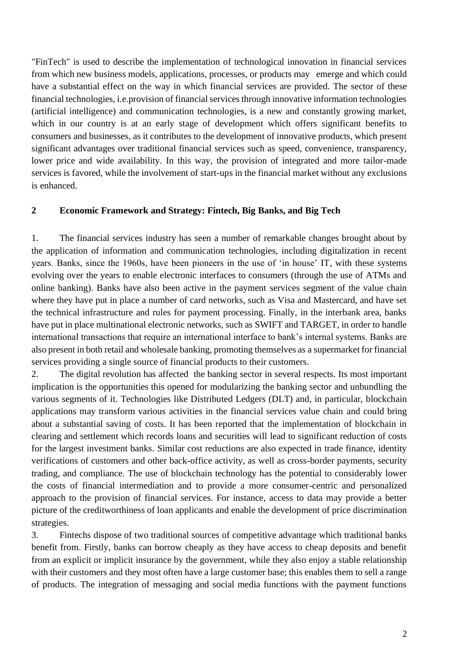"FinTech" is used to describe the implementation of technological innovation in financial services from which new business models, applications, processes, or products may emerge and which could have a substantial effect on the way in which financial services are provided. The sector of these financial technologies, i.e.provision of financial services through innovative information technologies (artificial intelligence) and communication technologies, is a new and constantly growing market, which in our country is at an early stage of development which offers significant benefits to consumers and businesses, as it contributes to the development of innovative products, which present significant advantages over traditional financial services such as speed, convenience, transparency, lower price and wide availability. In this way, the provision of integrated and more tailor-made services is favored, while the involvement of start-ups in the financial market without any exclusions is enhanced.

#### **2 Economic Framework and Strategy: Fintech, Big Banks, and Big Tech**

1. The financial services industry has seen a number of remarkable changes brought about by the application of information and communication technologies, including digitalization in recent years. Banks, since the 1960s, have been pioneers in the use of 'in house' IT, with these systems evolving over the years to enable electronic interfaces to consumers (through the use of ATMs and online banking). Banks have also been active in the payment services segment of the value chain where they have put in place a number of card networks, such as Visa and Mastercard, and have set the technical infrastructure and rules for payment processing. Finally, in the interbank area, banks have put in place multinational electronic networks, such as SWIFT and TARGET, in order to handle international transactions that require an international interface to bank's internal systems. Banks are also present in both retail and wholesale banking, promoting themselves as a supermarket for financial services providing a single source of financial products to their customers.

2. The digital revolution has affected the banking sector in several respects. Its most important implication is the opportunities this opened for modularizing the banking sector and unbundling the various segments of it. Technologies like Distributed Ledgers (DLT) and, in particular, blockchain applications may transform various activities in the financial services value chain and could bring about a substantial saving of costs. It has been reported that the implementation of blockchain in clearing and settlement which records loans and securities will lead to significant reduction of costs for the largest investment banks. Similar cost reductions are also expected in trade finance, identity verifications of customers and other back-office activity, as well as cross-border payments, security trading, and compliance. The use of blockchain technology has the potential to considerably lower the costs of financial intermediation and to provide a more consumer-centric and personalized approach to the provision of financial services. For instance, access to data may provide a better picture of the creditworthiness of loan applicants and enable the development of price discrimination strategies.

3. Fintechs dispose of two traditional sources of competitive advantage which traditional banks benefit from. Firstly, banks can borrow cheaply as they have access to cheap deposits and benefit from an explicit or implicit insurance by the government, while they also enjoy a stable relationship with their customers and they most often have a large customer base; this enables them to sell a range of products. The integration of messaging and social media functions with the payment functions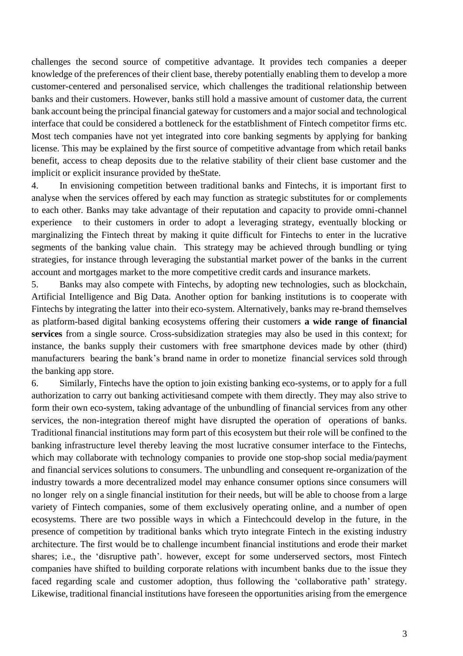challenges the second source of competitive advantage. It provides tech companies a deeper knowledge of the preferences of their client base, thereby potentially enabling them to develop a more customer-centered and personalised service, which challenges the traditional relationship between banks and their customers. However, banks still hold a massive amount of customer data, the current bank account being the principal financial gateway for customers and a major social and technological interface that could be considered a bottleneck for the estatblishment of Fintech competitor firms etc. Most tech companies have not yet integrated into core banking segments by applying for banking license. This may be explained by the first source of competitive advantage from which retail banks benefit, access to cheap deposits due to the relative stability of their client base customer and the implicit or explicit insurance provided by theState.

4. In envisioning competition between traditional banks and Fintechs, it is important first to analyse when the services offered by each may function as strategic substitutes for or complements to each other. Banks may take advantage of their reputation and capacity to provide omni-channel experience to their customers in order to adopt a leveraging strategy, eventually blocking or marginalizing the Fintech threat by making it quite difficult for Fintechs to enter in the lucrative segments of the banking value chain. This strategy may be achieved through bundling or tying strategies, for instance through leveraging the substantial market power of the banks in the current account and mortgages market to the more competitive credit cards and insurance markets.

5. Banks may also compete with Fintechs, by adopting new technologies, such as blockchain, Artificial Intelligence and Big Data. Another option for banking institutions is to cooperate with Fintechs by integrating the latter into their eco-system. Alternatively, banks may re-brand themselves as platform-based digital banking ecosystems offering their customers **a wide range of financial services** from a single source. Cross-subsidization strategies may also be used in this context; for instance, the banks supply their customers with free smartphone devices made by other (third) manufacturers bearing the bank's brand name in order to monetize financial services sold through the banking app store.

6. Similarly, Fintechs have the option to join existing banking eco-systems, or to apply for a full authorization to carry out banking activitiesand compete with them directly. They may also strive to form their own eco-system, taking advantage of the unbundling of financial services from any other services, the non-integration thereof might have disrupted the operation of operations of banks. Traditional financial institutions may form part of this ecosystem but their role will be confined to the banking infrastructure level thereby leaving the most lucrative consumer interface to the Fintechs, which may collaborate with technology companies to provide one stop-shop social media/payment and financial services solutions to consumers. The unbundling and consequent re-organization of the industry towards a more decentralized model may enhance consumer options since consumers will no longer rely on a single financial institution for their needs, but will be able to choose from a large variety of Fintech companies, some of them exclusively operating online, and a number of open ecosystems. There are two possible ways in which a Fintechcould develop in the future, in the presence of competition by traditional banks which tryto integrate Fintech in the existing industry architecture. The first would be to challenge incumbent financial institutions and erode their market shares; i.e., the 'disruptive path'. however, except for some underserved sectors, most Fintech companies have shifted to building corporate relations with incumbent banks due to the issue they faced regarding scale and customer adoption, thus following the 'collaborative path' strategy. Likewise, traditional financial institutions have foreseen the opportunities arising from the emergence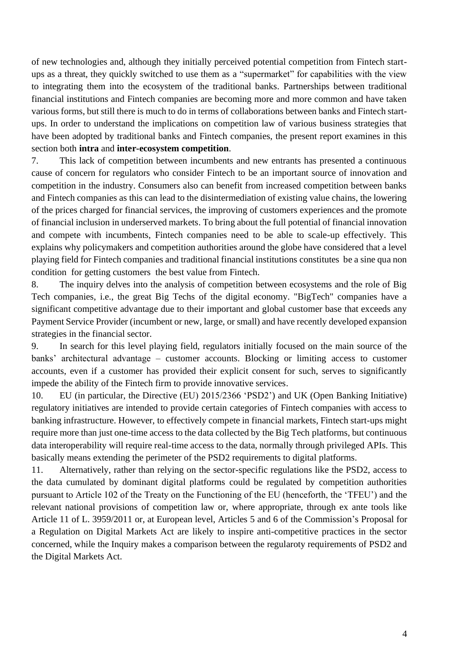of new technologies and, although they initially perceived potential competition from Fintech startups as a threat, they quickly switched to use them as a "supermarket" for capabilities with the view to integrating them into the ecosystem of the traditional banks. Partnerships between traditional financial institutions and Fintech companies are becoming more and more common and have taken various forms, but still there is much to do in terms of collaborations between banks and Fintech startups. In order to understand the implications on competition law of various business strategies that have been adopted by traditional banks and Fintech companies, the present report examines in this section both **intra** and **inter-ecosystem competition**.

7. This lack of competition between incumbents and new entrants has presented a continuous cause of concern for regulators who consider Fintech to be an important source of innovation and competition in the industry. Consumers also can benefit from increased competition between banks and Fintech companies as this can lead to the disintermediation of existing value chains, the lowering of the prices charged for financial services, the improving of customers experiences and the promote of financial inclusion in underserved markets. Τo bring about the full potential of financial innovation and compete with incumbents, Fintech companies need to be able to scale-up effectively. This explains why policymakers and competition authorities around the globe have considered that a level playing field for Fintech companies and traditional financial institutions constitutes be a sine qua non condition for getting customers the best value from Fintech.

8. The inquiry delves into the analysis of competition between ecosystems and the role of Big Tech companies, i.e., the great Big Techs of the digital economy. "BigTech" companies have a significant competitive advantage due to their important and global customer base that exceeds any Payment Service Provider (incumbent or new, large, or small) and have recently developed expansion strategies in the financial sector.

9. In search for this level playing field, regulators initially focused on the main source of the banks' architectural advantage – customer accounts. Blocking or limiting access to customer accounts, even if a customer has provided their explicit consent for such, serves to significantly impede the ability of the Fintech firm to provide innovative services.

10. EU (in particular, the Directive (EU) 2015/2366 'PSD2') and UK (Open Banking Initiative) regulatory initiatives are intended to provide certain categories of Fintech companies with access to banking infrastructure. However, to effectively compete in financial markets, Fintech start-ups might require more than just one-time access to the data collected by the Big Tech platforms, but continuous data interoperability will require real-time access to the data, normally through privileged APIs. This basically means extending the perimeter of the PSD2 requirements to digital platforms.

11. Alternatively, rather than relying on the sector-specific regulations like the PSD2, access to the data cumulated by dominant digital platforms could be regulated by competition authorities pursuant to Article 102 of the Treaty on the Functioning of the EU (henceforth, the 'TFEU') and the relevant national provisions of competition law or, where appropriate, through ex ante tools like Article 11 of L. 3959/2011 or, at European level, Articles 5 and 6 of the Commission's Proposal for a Regulation on Digital Markets Act are likely to inspire anti-competitive practices in the sector concerned, while the Inquiry makes a comparison between the regularoty requirements of PSD2 and the Digital Markets Act.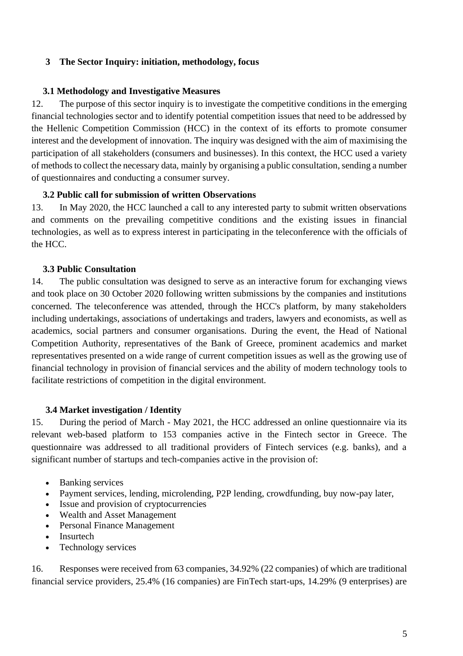# <span id="page-5-0"></span>**3 The Sector Inquiry: initiation, methodology, focus**

# <span id="page-5-1"></span>**3.1 Methodology and Investigative Measures**

12. The purpose of this sector inquiry is to investigate the competitive conditions in the emerging financial technologies sector and to identify potential competition issues that need to be addressed by the Hellenic Competition Commission (HCC) in the context of its efforts to promote consumer interest and the development of innovation. The inquiry was designed with the aim of maximising the participation of all stakeholders (consumers and businesses). In this context, the HCC used a variety of methods to collect the necessary data, mainly by organising a public consultation, sending a number of questionnaires and conducting a consumer survey.

# <span id="page-5-2"></span>**3.2 Public call for submission of written Observations**

13. In May 2020, the HCC launched a call to any interested party to submit written observations and comments on the prevailing competitive conditions and the existing issues in financial technologies, as well as to express interest in participating in the teleconference with the officials of the HCC.

# **3.3 Public Consultation**

<span id="page-5-3"></span>14. The public consultation was designed to serve as an interactive forum for exchanging views and took place on 30 October 2020 following written submissions by the companies and institutions concerned. The teleconference was attended, through the HCC's platform, by many stakeholders including undertakings, associations of undertakings and traders, lawyers and economists, as well as academics, social partners and consumer organisations. During the event, the Head of National Competition Authority, representatives of the Bank of Greece, prominent academics and market representatives presented on a wide range of current competition issues as well as the growing use of financial technology in provision of financial services and the ability of modern technology tools to facilitate restrictions of competition in the digital environment.

#### <span id="page-5-4"></span>**3.4 Market investigation / Identity**

15. During the period of March - May 2021, the HCC addressed an online questionnaire via its relevant web-based platform to 153 companies active in the Fintech sector in Greece. The questionnaire was addressed to all traditional providers of Fintech services (e.g. banks), and a significant number of startups and tech-companies active in the provision of:

- Banking services
- Payment services, lending, microlending, P2P lending, crowdfunding, buy now-pay later,
- Issue and provision of cryptocurrencies
- Wealth and Asset Management
- Personal Finance Management
- Insurtech
- Technology services

16. Responses were received from 63 companies, 34.92% (22 companies) of which are traditional financial service providers, 25.4% (16 companies) are FinTech start-ups, 14.29% (9 enterprises) are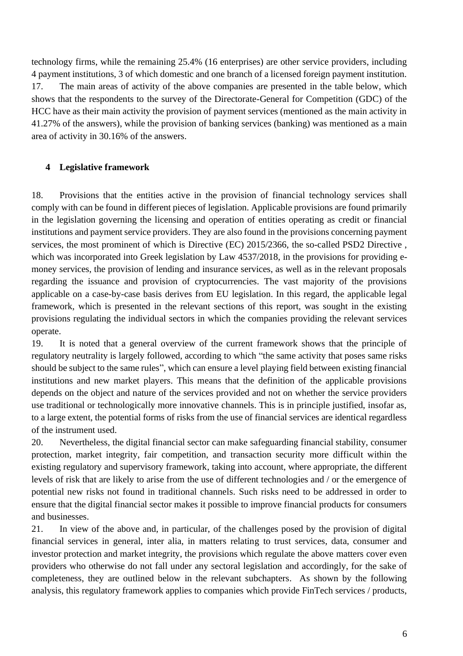technology firms, while the remaining 25.4% (16 enterprises) are other service providers, including 4 payment institutions, 3 of which domestic and one branch of a licensed foreign payment institution. 17. The main areas of activity of the above companies are presented in the table below, which shows that the respondents to the survey of the Directorate-General for Competition (GDC) of the HCC have as their main activity the provision of payment services (mentioned as the main activity in 41.27% of the answers), while the provision of banking services (banking) was mentioned as a main area of activity in 30.16% of the answers.

# <span id="page-6-0"></span>**4 Legislative framework**

18. Provisions that the entities active in the provision of financial technology services shall comply with can be found in different pieces of legislation. Applicable provisions are found primarily in the legislation governing the licensing and operation of entities operating as credit or financial institutions and payment service providers. They are also found in the provisions concerning payment services, the most prominent of which is Directive (EC) 2015/2366, the so-called PSD2 Directive , which was incorporated into Greek legislation by Law 4537/2018, in the provisions for providing emoney services, the provision of lending and insurance services, as well as in the relevant proposals regarding the issuance and provision of cryptocurrencies. The vast majority of the provisions applicable on a case-by-case basis derives from EU legislation. In this regard, the applicable legal framework, which is presented in the relevant sections of this report, was sought in the existing provisions regulating the individual sectors in which the companies providing the relevant services operate.

19. It is noted that a general overview of the current framework shows that the principle of regulatory neutrality is largely followed, according to which "the same activity that poses same risks should be subject to the same rules", which can ensure a level playing field between existing financial institutions and new market players. This means that the definition of the applicable provisions depends on the object and nature of the services provided and not on whether the service providers use traditional or technologically more innovative channels. This is in principle justified, insofar as, to a large extent, the potential forms of risks from the use of financial services are identical regardless of the instrument used.

20. Nevertheless, the digital financial sector can make safeguarding financial stability, consumer protection, market integrity, fair competition, and transaction security more difficult within the existing regulatory and supervisory framework, taking into account, where appropriate, the different levels of risk that are likely to arise from the use of different technologies and / or the emergence of potential new risks not found in traditional channels. Such risks need to be addressed in order to ensure that the digital financial sector makes it possible to improve financial products for consumers and businesses.

21. In view of the above and, in particular, of the challenges posed by the provision of digital financial services in general, inter alia, in matters relating to trust services, data, consumer and investor protection and market integrity, the provisions which regulate the above matters cover even providers who otherwise do not fall under any sectoral legislation and accordingly, for the sake of completeness, they are outlined below in the relevant subchapters. As shown by the following analysis, this regulatory framework applies to companies which provide FinTech services / products,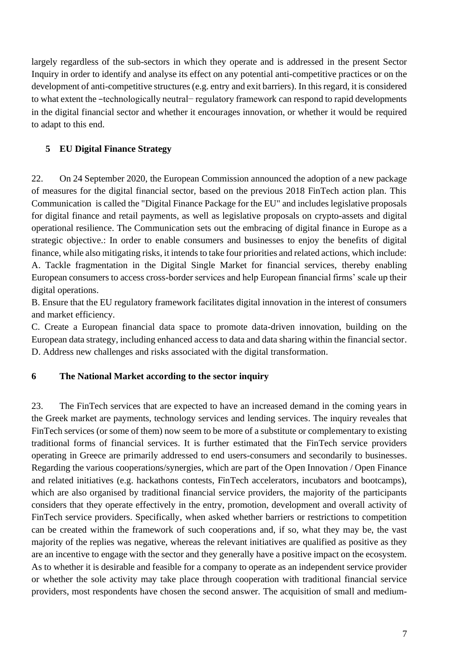largely regardless of the sub-sectors in which they operate and is addressed in the present Sector Inquiry in order to identify and analyse its effect on any potential anti-competitive practices or on the development of anti-competitive structures (e.g. entry and exit barriers). In this regard, it is considered to what extent the −technologically neutral− regulatory framework can respond to rapid developments in the digital financial sector and whether it encourages innovation, or whether it would be required to adapt to this end.

# <span id="page-7-0"></span>**5 EU Digital Finance Strategy**

22. On 24 September 2020, the European Commission announced the adoption of a new package of measures for the digital financial sector, based on the previous 2018 FinTech action plan. This Communication is called the "Digital Finance Package for the EU" and includes legislative proposals for digital finance and retail payments, as well as legislative proposals on crypto-assets and digital operational resilience. The Communication sets out the embracing of digital finance in Europe as a strategic objective.: In order to enable consumers and businesses to enjoy the benefits of digital finance, while also mitigating risks, it intends to take four priorities and related actions, which include: A. Tackle fragmentation in the Digital Single Market for financial services, thereby enabling European consumers to access cross-border services and help European financial firms' scale up their digital operations.

B. Ensure that the EU regulatory framework facilitates digital innovation in the interest of consumers and market efficiency.

C. Create a European financial data space to promote data-driven innovation, building on the European data strategy, including enhanced access to data and data sharing within the financial sector. D. Address new challenges and risks associated with the digital transformation.

# <span id="page-7-1"></span>**6 The National Market according to the sector inquiry**

23. The FinTech services that are expected to have an increased demand in the coming years in the Greek market are payments, technology services and lending services. The inquiry reveales that FinTech services (or some of them) now seem to be more of a substitute or complementary to existing traditional forms of financial services. It is further estimated that the FinTech service providers operating in Greece are primarily addressed to end users-consumers and secondarily to businesses. Regarding the various cooperations/synergies, which are part of the Open Innovation / Open Finance and related initiatives (e.g. hackathons contests, FinTech accelerators, incubators and bootcamps), which are also organised by traditional financial service providers, the majority of the participants considers that they operate effectively in the entry, promotion, development and overall activity of FinTech service providers. Specifically, when asked whether barriers or restrictions to competition can be created within the framework of such cooperations and, if so, what they may be, the vast majority of the replies was negative, whereas the relevant initiatives are qualified as positive as they are an incentive to engage with the sector and they generally have a positive impact on the ecosystem. As to whether it is desirable and feasible for a company to operate as an independent service provider or whether the sole activity may take place through cooperation with traditional financial service providers, most respondents have chosen the second answer. The acquisition of small and medium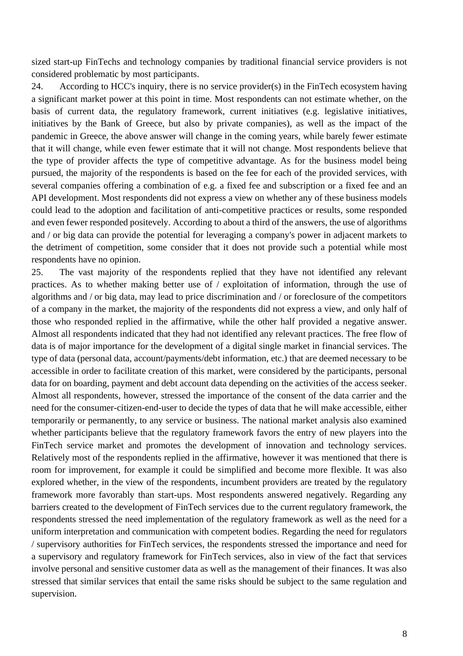sized start-up FinTechs and technology companies by traditional financial service providers is not considered problematic by most participants.

24. According to HCC's inquiry, there is no service provider(s) in the FinTech ecosystem having a significant market power at this point in time. Most respondents can not estimate whether, on the basis of current data, the regulatory framework, current initiatives (e.g. legislative initiatives, initiatives by the Bank of Greece, but also by private companies), as well as the impact of the pandemic in Greece, the above answer will change in the coming years, while barely fewer estimate that it will change, while even fewer estimate that it will not change. Most respondents believe that the type of provider affects the type of competitive advantage. As for the business model being pursued, the majority of the respondents is based on the fee for each of the provided services, with several companies offering a combination of e.g. a fixed fee and subscription or a fixed fee and an API development. Most respondents did not express a view on whether any of these business models could lead to the adoption and facilitation of anti-competitive practices or results, some responded and even fewer responded positevely. According to about a third of the answers, the use of algorithms and / or big data can provide the potential for leveraging a company's power in adjacent markets to the detriment of competition, some consider that it does not provide such a potential while most respondents have no opinion.

25. The vast majority of the respondents replied that they have not identified any relevant practices. As to whether making better use of / exploitation of information, through the use of algorithms and / or big data, may lead to price discrimination and / or foreclosure of the competitors of a company in the market, the majority of the respondents did not express a view, and only half of those who responded replied in the affirmative, while the other half provided a negative answer. Almost all respondents indicated that they had not identified any relevant practices. The free flow of data is of major importance for the development of a digital single market in financial services. The type of data (personal data, account/payments/debt information, etc.) that are deemed necessary to be accessible in order to facilitate creation of this market, were considered by the participants, personal data for on boarding, payment and debt account data depending on the activities of the access seeker. Almost all respondents, however, stressed the importance of the consent of the data carrier and the need for the consumer-citizen-end-user to decide the types of data that he will make accessible, either temporarily or permanently, to any service or business. The national market analysis also examined whether participants believe that the regulatory framework favors the entry of new players into the FinTech service market and promotes the development of innovation and technology services. Relatively most of the respondents replied in the affirmative, however it was mentioned that there is room for improvement, for example it could be simplified and become more flexible. It was also explored whether, in the view of the respondents, incumbent providers are treated by the regulatory framework more favorably than start-ups. Most respondents answered negatively. Regarding any barriers created to the development of FinTech services due to the current regulatory framework, the respondents stressed the need implementation of the regulatory framework as well as the need for a uniform interpretation and communication with competent bodies. Regarding the need for regulators / supervisory authorities for FinTech services, the respondents stressed the importance and need for a supervisory and regulatory framework for FinTech services, also in view of the fact that services involve personal and sensitive customer data as well as the management of their finances. It was also stressed that similar services that entail the same risks should be subject to the same regulation and supervision.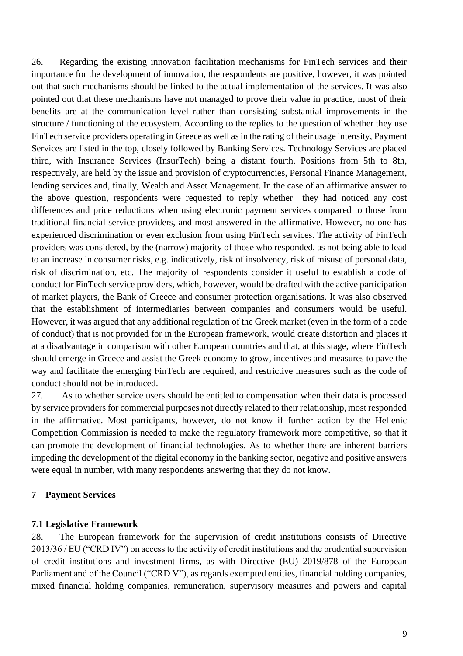26. Regarding the existing innovation facilitation mechanisms for FinTech services and their importance for the development of innovation, the respondents are positive, however, it was pointed out that such mechanisms should be linked to the actual implementation of the services. It was also pointed out that these mechanisms have not managed to prove their value in practice, most of their benefits are at the communication level rather than consisting substantial improvements in the structure / functioning of the ecosystem. According to the replies to the question of whether they use FinTech service providers operating in Greece as well as in the rating of their usage intensity, Payment Services are listed in the top, closely followed by Banking Services. Technology Services are placed third, with Insurance Services (InsurTech) being a distant fourth. Positions from 5th to 8th, respectively, are held by the issue and provision of cryptocurrencies, Personal Finance Management, lending services and, finally, Wealth and Asset Management. In the case of an affirmative answer to the above question, respondents were requested to reply whether they had noticed any cost differences and price reductions when using electronic payment services compared to those from traditional financial service providers, and most answered in the affirmative. However, no one has experienced discrimination or even exclusion from using FinTech services. The activity of FinTech providers was considered, by the (narrow) majority of those who responded, as not being able to lead to an increase in consumer risks, e.g. indicatively, risk of insolvency, risk of misuse of personal data, risk of discrimination, etc. The majority of respondents consider it useful to establish a code of conduct for FinTech service providers, which, however, would be drafted with the active participation of market players, the Bank of Greece and consumer protection organisations. It was also observed that the establishment of intermediaries between companies and consumers would be useful. However, it was argued that any additional regulation of the Greek market (even in the form of a code of conduct) that is not provided for in the European framework, would create distortion and places it at a disadvantage in comparison with other European countries and that, at this stage, where FinTech should emerge in Greece and assist the Greek economy to grow, incentives and measures to pave the way and facilitate the emerging FinTech are required, and restrictive measures such as the code of conduct should not be introduced.

27. As to whether service users should be entitled to compensation when their data is processed by service providers for commercial purposes not directly related to their relationship, most responded in the affirmative. Most participants, however, do not know if further action by the Hellenic Competition Commission is needed to make the regulatory framework more competitive, so that it can promote the development of financial technologies. As to whether there are inherent barriers impeding the development of the digital economy in the banking sector, negative and positive answers were equal in number, with many respondents answering that they do not know.

# <span id="page-9-0"></span>**7 Payment Services**

#### <span id="page-9-1"></span>**7.1 Legislative Framework**

28. The European framework for the supervision of credit institutions consists of Directive 2013/36 / EU ("CRD IV") on access to the activity of credit institutions and the prudential supervision of credit institutions and investment firms, as with Directive (EU) 2019/878 of the European Parliament and of the Council ("CRD V"), as regards exempted entities, financial holding companies, mixed financial holding companies, remuneration, supervisory measures and powers and capital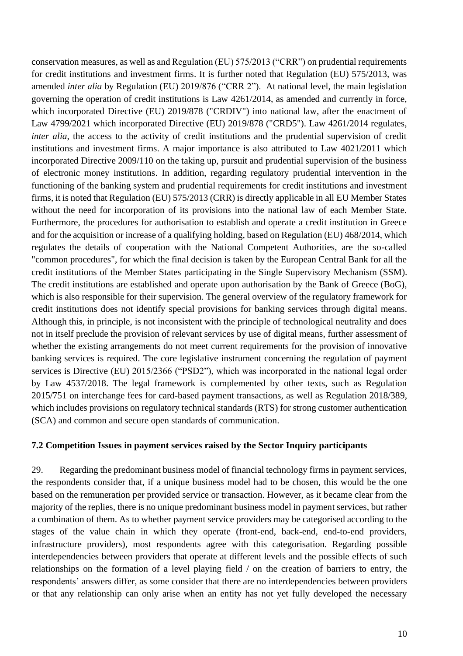conservation measures, as well as and Regulation (EU) 575/2013 ("CRR") on prudential requirements for credit institutions and investment firms. It is further noted that Regulation (EU) 575/2013, was amended *inter alia* by Regulation (EU) 2019/876 ("CRR 2"). At national level, the main legislation governing the operation of credit institutions is Law 4261/2014, as amended and currently in force, which incorporated Directive (EU) 2019/878 ("CRDIV") into national law, after the enactment of Law 4799/2021 which incorporated Directive (EU) 2019/878 ("CRD5"). Law 4261/2014 regulates, *inter alia*, the access to the activity of credit institutions and the prudential supervision of credit institutions and investment firms. A major importance is also attributed to Law 4021/2011 which incorporated Directive 2009/110 on the taking up, pursuit and prudential supervision of the business of electronic money institutions. In addition, regarding regulatory prudential intervention in the functioning of the banking system and prudential requirements for credit institutions and investment firms, it is noted that Regulation (EU) 575/2013 (CRR) is directly applicable in all EU Member States without the need for incorporation of its provisions into the national law of each Member State. Furthermore, the procedures for authorisation to establish and operate a credit institution in Greece and for the acquisition or increase of a qualifying holding, based on Regulation (EU) 468/2014, which regulates the details of cooperation with the National Competent Authorities, are the so-called "common procedures", for which the final decision is taken by the European Central Bank for all the credit institutions of the Member States participating in the Single Supervisory Mechanism (SSM). The credit institutions are established and operate upon authorisation by the Bank of Greece (BoG), which is also responsible for their supervision. The general overview of the regulatory framework for credit institutions does not identify special provisions for banking services through digital means. Although this, in principle, is not inconsistent with the principle of technological neutrality and does not in itself preclude the provision of relevant services by use of digital means, further assessment of whether the existing arrangements do not meet current requirements for the provision of innovative banking services is required. The core legislative instrument concerning the regulation of payment services is Directive (EU) 2015/2366 ("PSD2"), which was incorporated in the national legal order by Law 4537/2018. The legal framework is complemented by other texts, such as Regulation 2015/751 on interchange fees for card-based payment transactions, as well as Regulation 2018/389, which includes provisions on regulatory technical standards (RTS) for strong customer authentication (SCA) and common and secure open standards of communication.

#### <span id="page-10-0"></span>**7.2 Competition Issues in payment services raised by the Sector Inquiry participants**

29. Regarding the predominant business model of financial technology firms in payment services, the respondents consider that, if a unique business model had to be chosen, this would be the one based on the remuneration per provided service or transaction. However, as it became clear from the majority of the replies, there is no unique predominant business model in payment services, but rather a combination of them. As to whether payment service providers may be categorised according to the stages of the value chain in which they operate (front-end, back-end, end-to-end providers, infrastructure providers), most respondents agree with this categorisation. Regarding possible interdependencies between providers that operate at different levels and the possible effects of such relationships on the formation of a level playing field / on the creation of barriers to entry, the respondents' answers differ, as some consider that there are no interdependencies between providers or that any relationship can only arise when an entity has not yet fully developed the necessary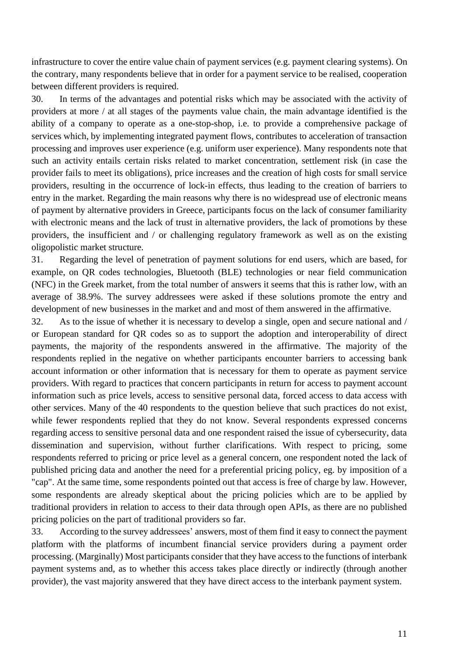infrastructure to cover the entire value chain of payment services (e.g. payment clearing systems). On the contrary, many respondents believe that in order for a payment service to be realised, cooperation between different providers is required.

30. In terms of the advantages and potential risks which may be associated with the activity of providers at more / at all stages of the payments value chain, the main advantage identified is the ability of a company to operate as a one-stop-shop, i.e. to provide a comprehensive package of services which, by implementing integrated payment flows, contributes to acceleration of transaction processing and improves user experience (e.g. uniform user experience). Many respondents note that such an activity entails certain risks related to market concentration, settlement risk (in case the provider fails to meet its obligations), price increases and the creation of high costs for small service providers, resulting in the occurrence of lock-in effects, thus leading to the creation of barriers to entry in the market. Regarding the main reasons why there is no widespread use of electronic means of payment by alternative providers in Greece, participants focus on the lack of consumer familiarity with electronic means and the lack of trust in alternative providers, the lack of promotions by these providers, the insufficient and / or challenging regulatory framework as well as on the existing oligopolistic market structure.

31. Regarding the level of penetration of payment solutions for end users, which are based, for example, on QR codes technologies, Bluetooth (BLE) technologies or near field communication (NFC) in the Greek market, from the total number of answers it seems that this is rather low, with an average of 38.9%. The survey addressees were asked if these solutions promote the entry and development of new businesses in the market and and most of them answered in the affirmative.

32. As to the issue of whether it is necessary to develop a single, open and secure national and / or European standard for QR codes so as to support the adoption and interoperability of direct payments, the majority of the respondents answered in the affirmative. The majority of the respondents replied in the negative on whether participants encounter barriers to accessing bank account information or other information that is necessary for them to operate as payment service providers. With regard to practices that concern participants in return for access to payment account information such as price levels, access to sensitive personal data, forced access to data access with other services. Many of the 40 respondents to the question believe that such practices do not exist, while fewer respondents replied that they do not know. Several respondents expressed concerns regarding access to sensitive personal data and one respondent raised the issue of cybersecurity, data dissemination and supervision, without further clarifications. With respect to pricing, some respondents referred to pricing or price level as a general concern, one respondent noted the lack of published pricing data and another the need for a preferential pricing policy, eg. by imposition of a "cap". At the same time, some respondents pointed out that access is free of charge by law. However, some respondents are already skeptical about the pricing policies which are to be applied by traditional providers in relation to access to their data through open APIs, as there are no published pricing policies on the part of traditional providers so far.

33. According to the survey addressees' answers, most of them find it easy to connect the payment platform with the platforms of incumbent financial service providers during a payment order processing. (Marginally) Most participants consider that they have access to the functions of interbank payment systems and, as to whether this access takes place directly or indirectly (through another provider), the vast majority answered that they have direct access to the interbank payment system.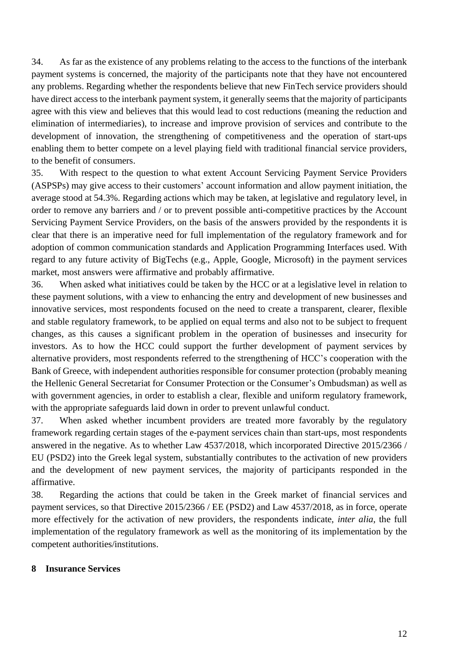34. As far as the existence of any problems relating to the access to the functions of the interbank payment systems is concerned, the majority of the participants note that they have not encountered any problems. Regarding whether the respondents believe that new FinTech service providers should have direct access to the interbank payment system, it generally seems that the majority of participants agree with this view and believes that this would lead to cost reductions (meaning the reduction and elimination of intermediaries), to increase and improve provision of services and contribute to the development of innovation, the strengthening of competitiveness and the operation of start-ups enabling them to better compete on a level playing field with traditional financial service providers, to the benefit of consumers.

35. With respect to the question to what extent Account Servicing Payment Service Providers (ASPSPs) may give access to their customers' account information and allow payment initiation, the average stood at 54.3%. Regarding actions which may be taken, at legislative and regulatory level, in order to remove any barriers and / or to prevent possible anti-competitive practices by the Account Servicing Payment Service Providers, on the basis of the answers provided by the respondents it is clear that there is an imperative need for full implementation of the regulatory framework and for adoption of common communication standards and Application Programming Interfaces used. With regard to any future activity of BigTechs (e.g., Apple, Google, Microsoft) in the payment services market, most answers were affirmative and probably affirmative.

36. When asked what initiatives could be taken by the HCC or at a legislative level in relation to these payment solutions, with a view to enhancing the entry and development of new businesses and innovative services, most respondents focused on the need to create a transparent, clearer, flexible and stable regulatory framework, to be applied on equal terms and also not to be subject to frequent changes, as this causes a significant problem in the operation of businesses and insecurity for investors. As to how the HCC could support the further development of payment services by alternative providers, most respondents referred to the strengthening of HCC's cooperation with the Bank of Greece, with independent authorities responsible for consumer protection (probably meaning the Hellenic General Secretariat for Consumer Protection or the Consumer's Ombudsman) as well as with government agencies, in order to establish a clear, flexible and uniform regulatory framework, with the appropriate safeguards laid down in order to prevent unlawful conduct.

37. When asked whether incumbent providers are treated more favorably by the regulatory framework regarding certain stages of the e-payment services chain than start-ups, most respondents answered in the negative. As to whether Law 4537/2018, which incorporated Directive 2015/2366 / EU (PSD2) into the Greek legal system, substantially contributes to the activation of new providers and the development of new payment services, the majority of participants responded in the affirmative.

38. Regarding the actions that could be taken in the Greek market of financial services and payment services, so that Directive 2015/2366 / EE (PSD2) and Law 4537/2018, as in force, operate more effectively for the activation of new providers, the respondents indicate, *inter alia*, the full implementation of the regulatory framework as well as the monitoring of its implementation by the competent authorities/institutions.

#### <span id="page-12-0"></span>**8 Insurance Services**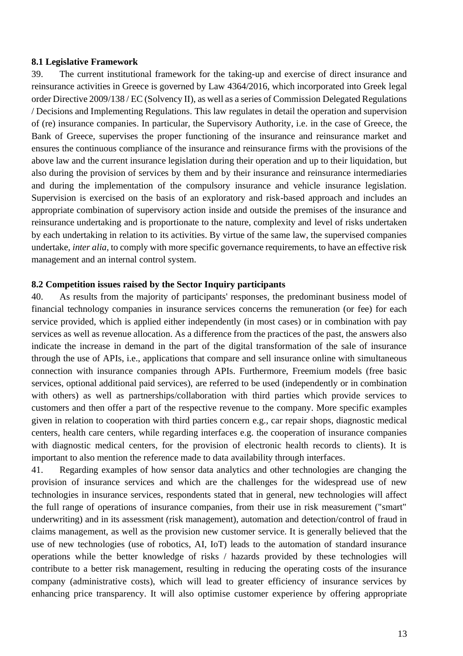#### <span id="page-13-0"></span>**8.1 Legislative Framework**

39. The current institutional framework for the taking-up and exercise of direct insurance and reinsurance activities in Greece is governed by Law 4364/2016, which incorporated into Greek legal order Directive 2009/138 / EC (Solvency II), as well as a series of Commission Delegated Regulations / Decisions and Implementing Regulations. This law regulates in detail the operation and supervision of (re) insurance companies. In particular, the Supervisory Authority, i.e. in the case of Greece, the Bank of Greece, supervises the proper functioning of the insurance and reinsurance market and ensures the continuous compliance of the insurance and reinsurance firms with the provisions of the above law and the current insurance legislation during their operation and up to their liquidation, but also during the provision of services by them and by their insurance and reinsurance intermediaries and during the implementation of the compulsory insurance and vehicle insurance legislation. Supervision is exercised on the basis of an exploratory and risk-based approach and includes an appropriate combination of supervisory action inside and outside the premises of the insurance and reinsurance undertaking and is proportionate to the nature, complexity and level of risks undertaken by each undertaking in relation to its activities. By virtue of the same law, the supervised companies undertake, *inter alia*, to comply with more specific governance requirements, to have an effective risk management and an internal control system.

#### <span id="page-13-1"></span>**8.2 Competition issues raised by the Sector Inquiry participants**

40. As results from the majority of participants' responses, the predominant business model of financial technology companies in insurance services concerns the remuneration (or fee) for each service provided, which is applied either independently (in most cases) or in combination with pay services as well as revenue allocation. As a difference from the practices of the past, the answers also indicate the increase in demand in the part of the digital transformation of the sale of insurance through the use of APIs, i.e., applications that compare and sell insurance online with simultaneous connection with insurance companies through APIs. Furthermore, Freemium models (free basic services, optional additional paid services), are referred to be used (independently or in combination with others) as well as partnerships/collaboration with third parties which provide services to customers and then offer a part of the respective revenue to the company. More specific examples given in relation to cooperation with third parties concern e.g., car repair shops, diagnostic medical centers, health care centers, while regarding interfaces e.g. the cooperation of insurance companies with diagnostic medical centers, for the provision of electronic health records to clients). It is important to also mention the reference made to data availability through interfaces.

41. Regarding examples of how sensor data analytics and other technologies are changing the provision of insurance services and which are the challenges for the widespread use of new technologies in insurance services, respondents stated that in general, new technologies will affect the full range of operations of insurance companies, from their use in risk measurement ("smart" underwriting) and in its assessment (risk management), automation and detection/control of fraud in claims management, as well as the provision new customer service. It is generally believed that the use of new technologies (use of robotics, AI, IoT) leads to the automation of standard insurance operations while the better knowledge of risks / hazards provided by these technologies will contribute to a better risk management, resulting in reducing the operating costs of the insurance company (administrative costs), which will lead to greater efficiency of insurance services by enhancing price transparency. It will also optimise customer experience by offering appropriate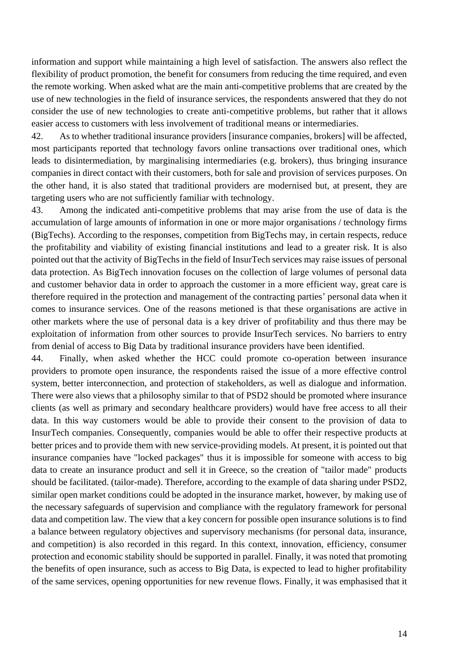information and support while maintaining a high level of satisfaction. The answers also reflect the flexibility of product promotion, the benefit for consumers from reducing the time required, and even the remote working. When asked what are the main anti-competitive problems that are created by the use of new technologies in the field of insurance services, the respondents answered that they do not consider the use of new technologies to create anti-competitive problems, but rather that it allows easier access to customers with less involvement of traditional means or intermediaries.

42. As to whether traditional insurance providers [insurance companies, brokers] will be affected, most participants reported that technology favors online transactions over traditional ones, which leads to disintermediation, by marginalising intermediaries (e.g. brokers), thus bringing insurance companies in direct contact with their customers, both for sale and provision of services purposes. On the other hand, it is also stated that traditional providers are modernised but, at present, they are targeting users who are not sufficiently familiar with technology.

43. Among the indicated anti-competitive problems that may arise from the use of data is the accumulation of large amounts of information in one or more major organisations / technology firms (BigTechs). According to the responses, competition from BigTechs may, in certain respects, reduce the profitability and viability of existing financial institutions and lead to a greater risk. It is also pointed out that the activity of BigTechs in the field of InsurTech services may raise issues of personal data protection. As BigTech innovation focuses on the collection of large volumes of personal data and customer behavior data in order to approach the customer in a more efficient way, great care is therefore required in the protection and management of the contracting parties' personal data when it comes to insurance services. One of the reasons metioned is that these organisations are active in other markets where the use of personal data is a key driver of profitability and thus there may be exploitation of information from other sources to provide InsurTech services. No barriers to entry from denial of access to Big Data by traditional insurance providers have been identified.

44. Finally, when asked whether the HCC could promote co-operation between insurance providers to promote open insurance, the respondents raised the issue of a more effective control system, better interconnection, and protection of stakeholders, as well as dialogue and information. There were also views that a philosophy similar to that of PSD2 should be promoted where insurance clients (as well as primary and secondary healthcare providers) would have free access to all their data. In this way customers would be able to provide their consent to the provision of data to InsurTech companies. Consequently, companies would be able to offer their respective products at better prices and to provide them with new service-providing models. At present, it is pointed out that insurance companies have "locked packages" thus it is impossible for someone with access to big data to create an insurance product and sell it in Greece, so the creation of "tailor made" products should be facilitated. (tailor-made). Therefore, according to the example of data sharing under PSD2, similar open market conditions could be adopted in the insurance market, however, by making use of the necessary safeguards of supervision and compliance with the regulatory framework for personal data and competition law. The view that a key concern for possible open insurance solutions is to find a balance between regulatory objectives and supervisory mechanisms (for personal data, insurance, and competition) is also recorded in this regard. In this context, innovation, efficiency, consumer protection and economic stability should be supported in parallel. Finally, it was noted that promoting the benefits of open insurance, such as access to Big Data, is expected to lead to higher profitability of the same services, opening opportunities for new revenue flows. Finally, it was emphasised that it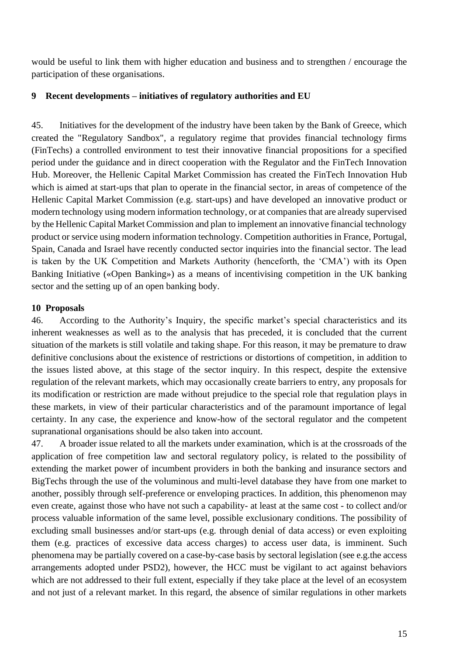would be useful to link them with higher education and business and to strengthen / encourage the participation of these organisations.

#### <span id="page-15-0"></span>**9 Recent developments – initiatives of regulatory authorities and EU**

45. Initiatives for the development of the industry have been taken by the Bank of Greece, which created the "Regulatory Sandbox", a regulatory regime that provides financial technology firms (FinTechs) a controlled environment to test their innovative financial propositions for a specified period under the guidance and in direct cooperation with the Regulator and the FinTech Innovation Hub. Moreover, the Hellenic Capital Market Commission has created the FinTech Innovation Hub which is aimed at start-ups that plan to operate in the financial sector, in areas of competence of the Hellenic Capital Market Commission (e.g. start-ups) and have developed an innovative product or modern technology using modern information technology, or at companies that are already supervised by the Hellenic Capital Market Commission and plan to implement an innovative financial technology product or service using modern information technology. Competition authorities in France, Portugal, Spain, Canada and Israel have recently conducted sector inquiries into the financial sector. The lead is taken by the UK Competition and Markets Authority (henceforth, the 'CMA') with its Open Banking Initiative («Open Banking») as a means of incentivising competition in the UK banking sector and the setting up of an open banking body.

#### <span id="page-15-1"></span>**10 Proposals**

46. According to the Authority's Inquiry, the specific market's special characteristics and its inherent weaknesses as well as to the analysis that has preceded, it is concluded that the current situation of the markets is still volatile and taking shape. For this reason, it may be premature to draw definitive conclusions about the existence of restrictions or distortions of competition, in addition to the issues listed above, at this stage of the sector inquiry. In this respect, despite the extensive regulation of the relevant markets, which may occasionally create barriers to entry, any proposals for its modification or restriction are made without prejudice to the special role that regulation plays in these markets, in view of their particular characteristics and of the paramount importance of legal certainty. In any case, the experience and know-how of the sectoral regulator and the competent supranational organisations should be also taken into account.

47. A broader issue related to all the markets under examination, which is at the crossroads of the application of free competition law and sectoral regulatory policy, is related to the possibility of extending the market power of incumbent providers in both the banking and insurance sectors and BigTechs through the use of the voluminous and multi-level database they have from one market to another, possibly through self-preference or enveloping practices. In addition, this phenomenon may even create, against those who have not such a capability- at least at the same cost - to collect and/or process valuable information of the same level, possible exclusionary conditions. The possibility of excluding small businesses and/or start-ups (e.g. through denial of data access) or even exploiting them (e.g. practices of excessive data access charges) to access user data, is imminent. Such phenomena may be partially covered on a case-by-case basis by sectoral legislation (see e.g.the access arrangements adopted under PSD2), however, the HCC must be vigilant to act against behaviors which are not addressed to their full extent, especially if they take place at the level of an ecosystem and not just of a relevant market. In this regard, the absence of similar regulations in other markets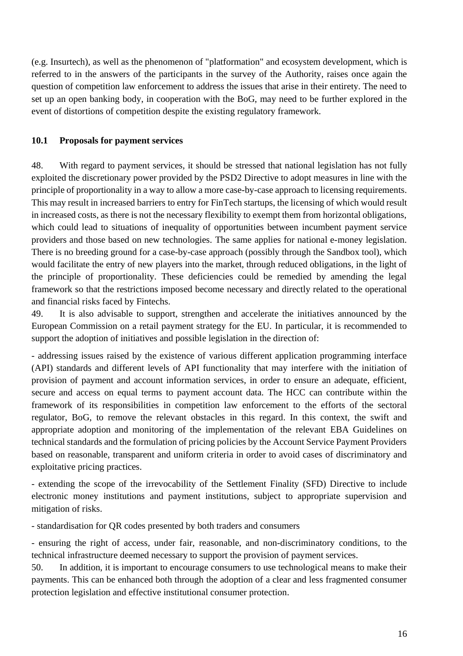(e.g. Insurtech), as well as the phenomenon of "platformation" and ecosystem development, which is referred to in the answers of the participants in the survey of the Authority, raises once again the question of competition law enforcement to address the issues that arise in their entirety. The need to set up an open banking body, in cooperation with the BoG, may need to be further explored in the event of distortions of competition despite the existing regulatory framework.

#### <span id="page-16-0"></span>**10.1 Proposals for payment services**

48. With regard to payment services, it should be stressed that national legislation has not fully exploited the discretionary power provided by the PSD2 Directive to adopt measures in line with the principle of proportionality in a way to allow a more case-by-case approach to licensing requirements. This may result in increased barriers to entry for FinTech startups, the licensing of which would result in increased costs, as there is not the necessary flexibility to exempt them from horizontal obligations, which could lead to situations of inequality of opportunities between incumbent payment service providers and those based on new technologies. The same applies for national e-money legislation. There is no breeding ground for a case-by-case approach (possibly through the Sandbox tool), which would facilitate the entry of new players into the market, through reduced obligations, in the light of the principle of proportionality. These deficiencies could be remedied by amending the legal framework so that the restrictions imposed become necessary and directly related to the operational and financial risks faced by Fintechs.

49. It is also advisable to support, strengthen and accelerate the initiatives announced by the European Commission on a retail payment strategy for the EU. In particular, it is recommended to support the adoption of initiatives and possible legislation in the direction of:

- addressing issues raised by the existence of various different application programming interface (API) standards and different levels of API functionality that may interfere with the initiation of provision of payment and account information services, in order to ensure an adequate, efficient, secure and access on equal terms to payment account data. The HCC can contribute within the framework of its responsibilities in competition law enforcement to the efforts of the sectoral regulator, BoG, to remove the relevant obstacles in this regard. In this context, the swift and appropriate adoption and monitoring of the implementation of the relevant EBA Guidelines on technical standards and the formulation of pricing policies by the Account Service Payment Providers based on reasonable, transparent and uniform criteria in order to avoid cases of discriminatory and exploitative pricing practices.

- extending the scope of the irrevocability of the Settlement Finality (SFD) Directive to include electronic money institutions and payment institutions, subject to appropriate supervision and mitigation of risks.

- standardisation for QR codes presented by both traders and consumers

- ensuring the right of access, under fair, reasonable, and non-discriminatory conditions, to the technical infrastructure deemed necessary to support the provision of payment services.

50. In addition, it is important to encourage consumers to use technological means to make their payments. This can be enhanced both through the adoption of a clear and less fragmented consumer protection legislation and effective institutional consumer protection.